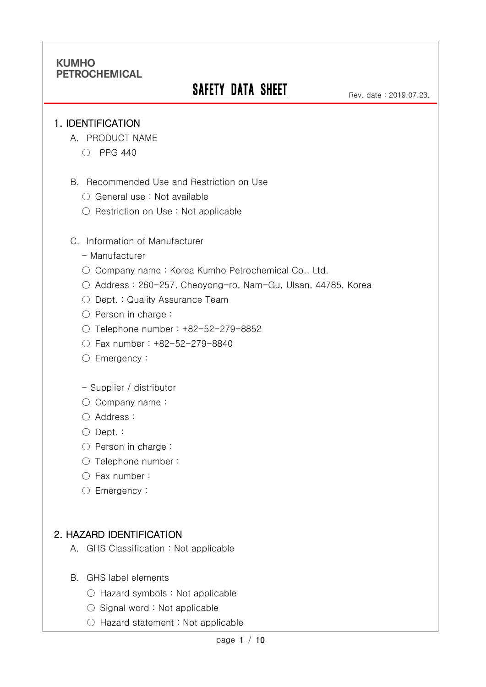# **SAFETY DATA SHEET**

#### 1. IDENTIFICATION

Ī

- A. PRODUCT NAME
	- PPG 440
- B. Recommended Use and Restriction on Use
	- General use : Not available
	- Restriction on Use : Not applicable
- C. Information of Manufacturer
	- Manufacturer
	- Company name: Korea Kumho Petrochemical Co., Ltd.
	- Address : 260-257, Cheoyong-ro, Nam-Gu, Ulsan, 44785, Korea
	- Dept. : Quality Assurance Team
	- Person in charge :
	- Telephone number : +82-52-279-8852
	- Fax number : +82-52-279-8840
	- Emergency:
	- Supplier / distributor
	- Company name:
	- Address :
	- Dept. :
	- Person in charge :
	- Telephone number :
	- Fax number :
	- Emergency:

#### 2. HAZARD IDENTIFICATION

- A. GHS Classification : Not applicable
- B. GHS label elements
	- Hazard symbols : Not applicable
	- Signal word : Not applicable
	- Hazard statement : Not applicable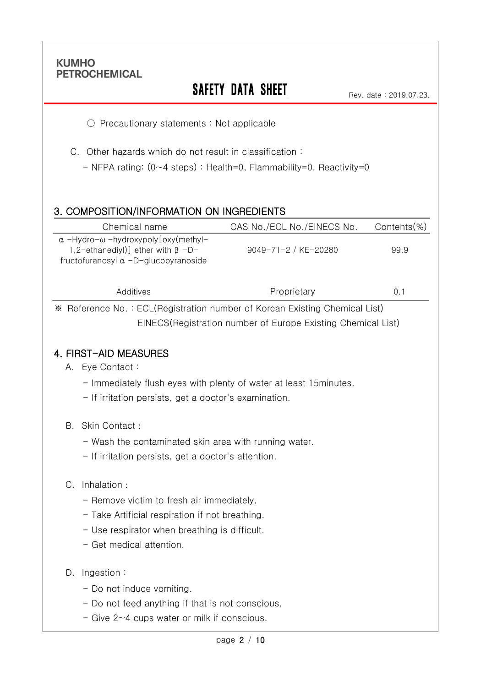Ī

# **SAFETY DATA SHEET**

Rev. date : 2019.07.23.

○ Precautionary statements : Not applicable

C. Other hazards which do not result in classification :

- NFPA rating: (0~4 steps) : Health=0, Flammability=0, Reactivity=0

### 3. COMPOSITION/INFORMATION ON INGREDIENTS

| CAS No./ECL No./EINECS No. | $Contents$ %)                                                                |
|----------------------------|------------------------------------------------------------------------------|
| 9049-71-2 / KE-20280       | 99.9                                                                         |
| Proprietary                | 0.1                                                                          |
|                            | X Deference No. : ECL (Degistration number of Kerean Evisting Chamical List) |

※ Reference No. : ECL(Registration number of Korean Existing Chemical List) EINECS(Registration number of Europe Existing Chemical List)

#### 4. FIRST-AID MEASURES

- A. Eye Contact :
	- Immediately flush eyes with plenty of water at least 15minutes.
	- If irritation persists, get a doctor's examination.
- B. Skin Contact :
	- Wash the contaminated skin area with running water.
	- If irritation persists, get a doctor's attention.

#### C. Inhalation :

- Remove victim to fresh air immediately.
- Take Artificial respiration if not breathing.
- Use respirator when breathing is difficult.
- Get medical attention.
- D. Ingestion :
	- Do not induce vomiting.
	- Do not feed anything if that is not conscious.
	- Give 2~4 cups water or milk if conscious.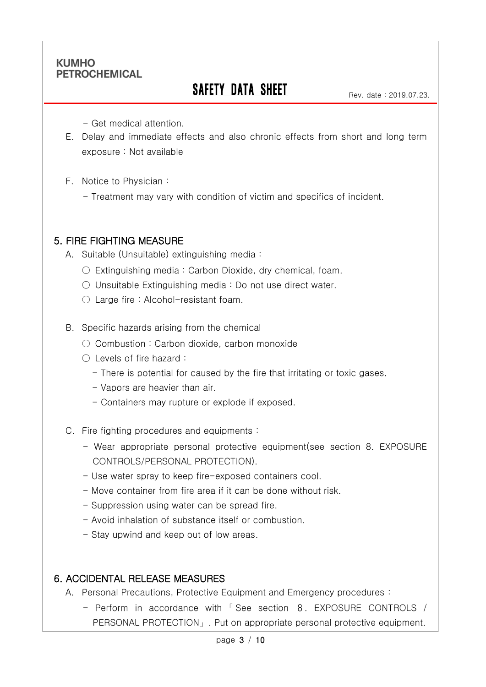Ī

# SAFETY DATA SHEET

Rev. date : 2019.07.23.

- Get medical attention.

- E. Delay and immediate effects and also chronic effects from short and long term exposure : Not available
- F. Notice to Physician :
	- Treatment may vary with condition of victim and specifics of incident.

### 5. FIRE FIGHTING MEASURE

A. Suitable (Unsuitable) extinguishing media :

- $\circ$  Extinguishing media: Carbon Dioxide, dry chemical, foam.
- Unsuitable Extinguishing media : Do not use direct water.
- $\bigcirc$  Large fire : Alcohol-resistant foam.

B. Specific hazards arising from the chemical

- Combustion: Carbon dioxide, carbon monoxide
- Levels of fire hazard :
	- There is potential for caused by the fire that irritating or toxic gases.
	- Vapors are heavier than air.
	- Containers may rupture or explode if exposed.
- C. Fire fighting procedures and equipments :
	- Wear appropriate personal protective equipment(see section 8. EXPOSURE CONTROLS/PERSONAL PROTECTION).
	- Use water spray to keep fire-exposed containers cool.
	- Move container from fire area if it can be done without risk.
	- Suppression using water can be spread fire.
	- Avoid inhalation of substance itself or combustion.
	- Stay upwind and keep out of low areas.

### 6. ACCIDENTAL RELEASE MEASURES

- A. Personal Precautions, Protective Equipment and Emergency procedures :
	- Perform in accordance with 「 See section 8. EXPOSURE CONTROLS / PERSONAL PROTECTION」. Put on appropriate personal protective equipment.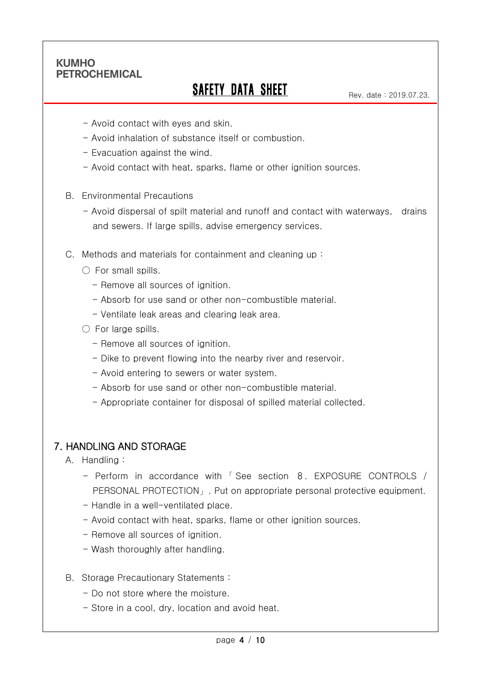Ī

# SAFETY DATA SHEET

Rev. date : 2019.07.23.

- Avoid contact with eyes and skin.
- Avoid inhalation of substance itself or combustion.
- Evacuation against the wind.
- Avoid contact with heat, sparks, flame or other ignition sources.
- B. Environmental Precautions
	- Avoid dispersal of spilt material and runoff and contact with waterways, drains and sewers. If large spills, advise emergency services.
- C. Methods and materials for containment and cleaning up :
	- $\bigcirc$  For small spills.
		- Remove all sources of ignition.
		- Absorb for use sand or other non-combustible material.
		- Ventilate leak areas and clearing leak area.
	- $\bigcirc$  For large spills.
		- Remove all sources of ignition.
		- Dike to prevent flowing into the nearby river and reservoir.
		- Avoid entering to sewers or water system.
		- Absorb for use sand or other non-combustible material.
		- Appropriate container for disposal of spilled material collected.

#### 7. HANDLING AND STORAGE

- A. Handling :
	- Perform in accordance with 「 See section 8. EXPOSURE CONTROLS / PERSONAL PROTECTION」. Put on appropriate personal protective equipment.
	- Handle in a well-ventilated place.
	- Avoid contact with heat, sparks, flame or other ignition sources.
	- Remove all sources of ignition.
	- Wash thoroughly after handling.
- B. Storage Precautionary Statements :
	- Do not store where the moisture.
	- Store in a cool, dry, location and avoid heat.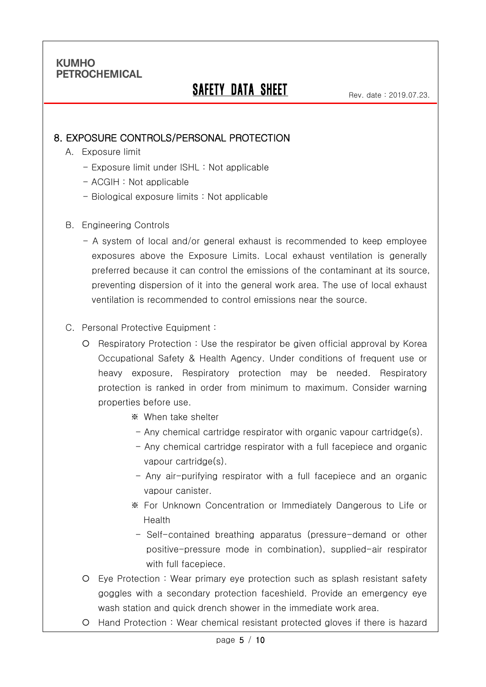Ī

# SAFETY DATA SHEET

Rev. date : 2019.07.23.

#### 8. EXPOSURE CONTROLS/PERSONAL PROTECTION

- A. Exposure limit
	- Exposure limit under ISHL : Not applicable
	- ACGIH : Not applicable
	- Biological exposure limits : Not applicable
- B. Engineering Controls
	- A system of local and/or general exhaust is recommended to keep employee exposures above the Exposure Limits. Local exhaust ventilation is generally preferred because it can control the emissions of the contaminant at its source, preventing dispersion of it into the general work area. The use of local exhaust ventilation is recommended to control emissions near the source.

#### C. Personal Protective Equipment :

- O Respiratory Protection : Use the respirator be given official approval by Korea Occupational Safety & Health Agency. Under conditions of frequent use or heavy exposure, Respiratory protection may be needed. Respiratory protection is ranked in order from minimum to maximum. Consider warning properties before use.
	- ※ When take shelter
	- Any chemical cartridge respirator with organic vapour cartridge(s).
	- Any chemical cartridge respirator with a full facepiece and organic vapour cartridge(s).
	- Any air-purifying respirator with a full facepiece and an organic vapour canister.
	- ※ For Unknown Concentration or Immediately Dangerous to Life or Health
	- Self-contained breathing apparatus (pressure-demand or other positive-pressure mode in combination), supplied-air respirator with full facepiece.
- Eye Protection : Wear primary eye protection such as splash resistant safety goggles with a secondary protection faceshield. Provide an emergency eye wash station and quick drench shower in the immediate work area.
- Hand Protection : Wear chemical resistant protected gloves if there is hazard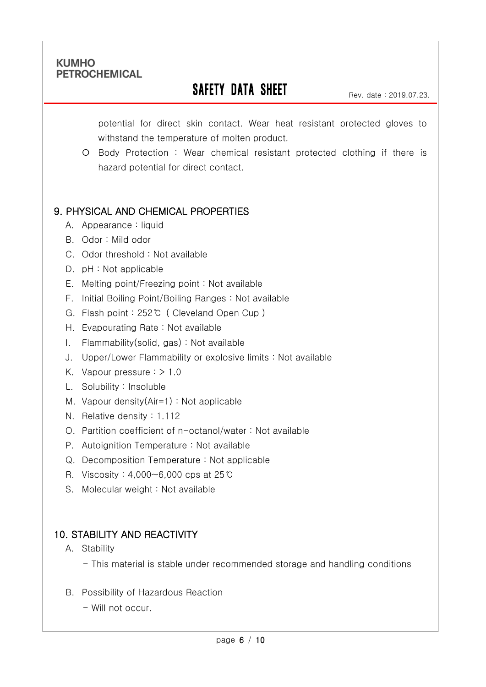Ī

# **SAFETY DATA SHEET**

Rev. date : 2019.07.23.

potential for direct skin contact. Wear heat resistant protected gloves to withstand the temperature of molten product.

 Body Protection : Wear chemical resistant protected clothing if there is hazard potential for direct contact.

# 9. PHYSICAL AND CHEMICAL PROPERTIES

- A. Appearance : liquid
- B. Odor : Mild odor
- C. Odor threshold : Not available
- D. pH : Not applicable
- E. Melting point/Freezing point : Not available
- F. Initial Boiling Point/Boiling Ranges : Not available
- G. Flash point : 252℃ ( Cleveland Open Cup )
- H. Evapourating Rate : Not available
- I. Flammability(solid, gas) : Not available
- J. Upper/Lower Flammability or explosive limits : Not available
- K. Vapour pressure : > 1.0
- L. Solubility : Insoluble
- M. Vapour density(Air=1) : Not applicable
- N. Relative density : 1.112
- O. Partition coefficient of n-octanol/water : Not available
- P. Autoignition Temperature : Not available
- Q. Decomposition Temperature : Not applicable
- R. Viscosity : 4,000~6,000 cps at 25℃
- S. Molecular weight : Not available

# 10. STABILITY AND REACTIVITY

- A. Stability
	- This material is stable under recommended storage and handling conditions
- B. Possibility of Hazardous Reaction
	- Will not occur.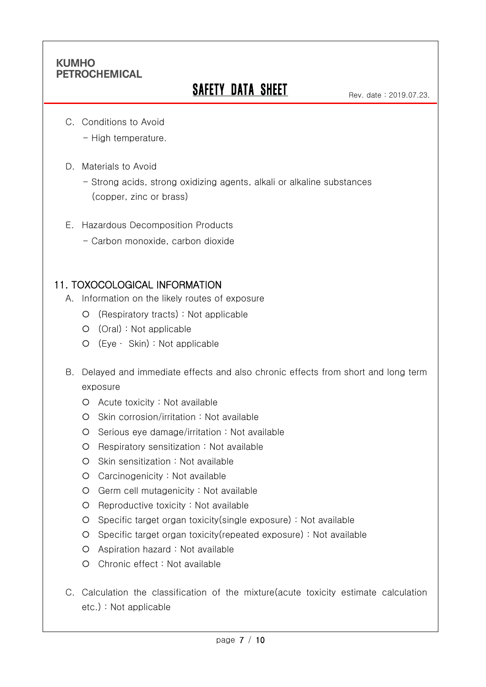Ī

# **SAFETY DATA SHEET**

C. Conditions to Avoid

- High temperature.

D. Materials to Avoid

- Strong acids, strong oxidizing agents, alkali or alkaline substances (copper, zinc or brass)

- E. Hazardous Decomposition Products
	- Carbon monoxide, carbon dioxide

### 11. TOXOCOLOGICAL INFORMATION

- A. Information on the likely routes of exposure
	- (Respiratory tracts) : Not applicable
	- (Oral) : Not applicable
	- (Eye ∙ Skin) : Not applicable
- B. Delayed and immediate effects and also chronic effects from short and long term exposure
	- Acute toxicity : Not available
	- O Skin corrosion/irritation : Not available
	- Serious eye damage/irritation : Not available
	- Respiratory sensitization : Not available
	- $O$  Skin sensitization : Not available
	- Carcinogenicity : Not available
	- Germ cell mutagenicity : Not available
	- O Reproductive toxicity : Not available
	- Specific target organ toxicity(single exposure) : Not available
	- Specific target organ toxicity(repeated exposure) : Not available
	- Aspiration hazard : Not available
	- Chronic effect : Not available
- C. Calculation the classification of the mixture(acute toxicity estimate calculation etc.) : Not applicable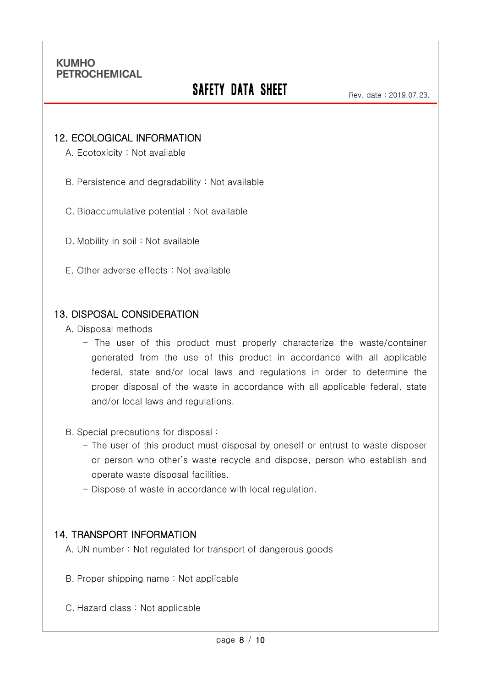Ī

# **SAFETY DATA SHEET**

#### 12. ECOLOGICAL INFORMATION

A. Ecotoxicity : Not available

B. Persistence and degradability : Not available

C. Bioaccumulative potential : Not available

D. Mobility in soil : Not available

E. Other adverse effects : Not available

#### 13. DISPOSAL CONSIDERATION

A. Disposal methods

- The user of this product must properly characterize the waste/container generated from the use of this product in accordance with all applicable federal, state and/or local laws and regulations in order to determine the proper disposal of the waste in accordance with all applicable federal, state and/or local laws and regulations.

B. Special precautions for disposal :

- The user of this product must disposal by oneself or entrust to waste disposer or person who other's waste recycle and dispose, person who establish and operate waste disposal facilities.
- Dispose of waste in accordance with local regulation.

#### 14. TRANSPORT INFORMATION

A. UN number : Not regulated for transport of dangerous goods

- B. Proper shipping name : Not applicable
- C. Hazard class : Not applicable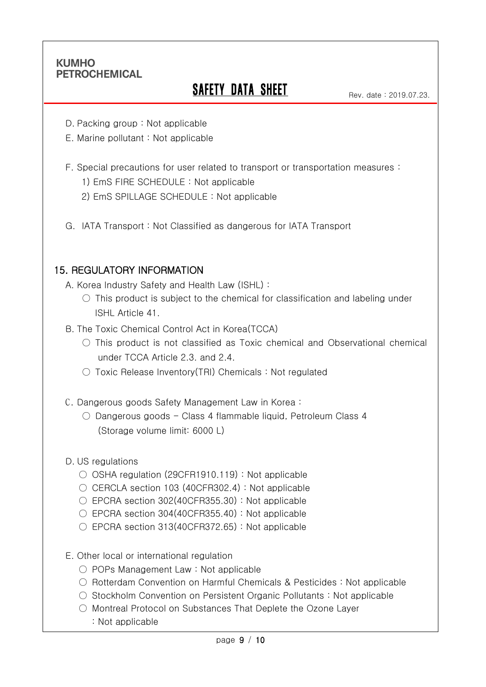Ī

# **SAFETY DATA SHEET**

- D. Packing group : Not applicable
- E. Marine pollutant : Not applicable
- F. Special precautions for user related to transport or transportation measures :
	- 1) EmS FIRE SCHEDULE : Not applicable
	- 2) EmS SPILLAGE SCHEDULE : Not applicable
- G. IATA Transport : Not Classified as dangerous for IATA Transport

#### 15. REGULATORY INFORMATION

- A. Korea Industry Safety and Health Law (ISHL) :
	- $\circ$  This product is subject to the chemical for classification and labeling under ISHL Article 41.
- B. The Toxic Chemical Control Act in Korea(TCCA)
	- This product is not classified as Toxic chemical and Observational chemical under TCCA Article 2.3. and 2.4.
	- Toxic Release Inventory(TRI) Chemicals : Not regulated
- C. Dangerous goods Safety Management Law in Korea :
	- Dangerous goods Class 4 flammable liquid, Petroleum Class 4 (Storage volume limit: 6000 L)
- D. US regulations
	- OSHA regulation (29CFR1910.119) : Not applicable
	- CERCLA section 103 (40CFR302.4): Not applicable
	- EPCRA section 302(40CFR355.30): Not applicable
	- EPCRA section 304(40CFR355.40): Not applicable
	- $\circ$  EPCRA section 313(40CFR372.65) : Not applicable
- E. Other local or international regulation
	- POPs Management Law : Not applicable
	- Rotterdam Convention on Harmful Chemicals & Pesticides : Not applicable
	- Stockholm Convention on Persistent Organic Pollutants : Not applicable
	- Montreal Protocol on Substances That Deplete the Ozone Layer
		- : Not applicable